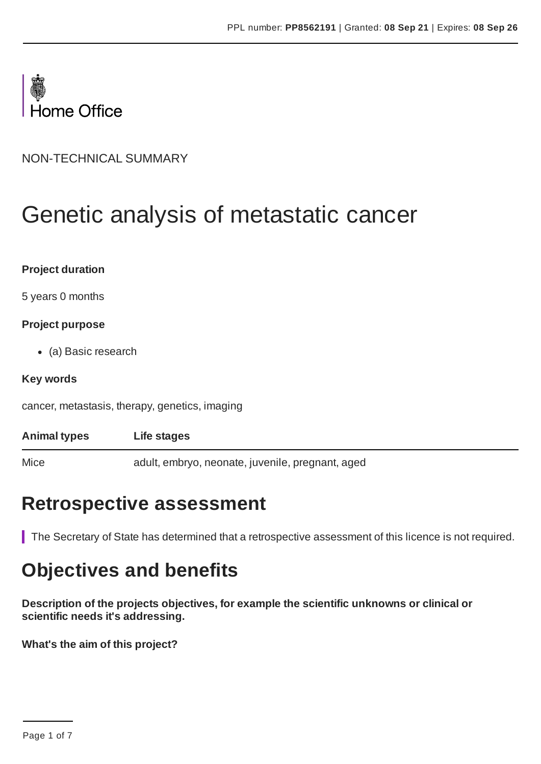

NON-TECHNICAL SUMMARY

# Genetic analysis of metastatic cancer

| <b>Project duration</b> |  |
|-------------------------|--|
|-------------------------|--|

5 years 0 months

#### **Project purpose**

(a) Basic research

#### **Key words**

cancer, metastasis, therapy, genetics, imaging

| <b>Animal types</b> | Life stages                                      |
|---------------------|--------------------------------------------------|
| Mice                | adult, embryo, neonate, juvenile, pregnant, aged |

### **Retrospective assessment**

The Secretary of State has determined that a retrospective assessment of this licence is not required.

# **Objectives and benefits**

**Description of the projects objectives, for example the scientific unknowns or clinical or scientific needs it's addressing.**

**What's the aim of this project?**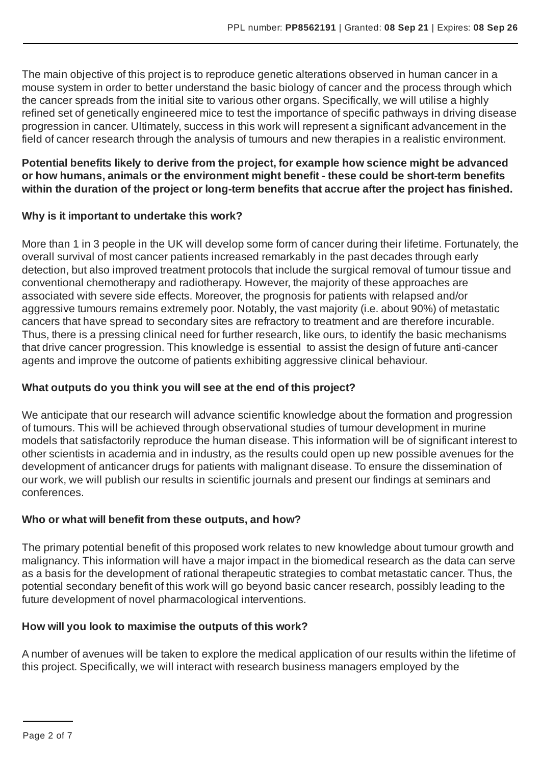The main objective of this project is to reproduce genetic alterations observed in human cancer in a mouse system in order to better understand the basic biology of cancer and the process through which the cancer spreads from the initial site to various other organs. Specifically, we will utilise a highly refined set of genetically engineered mice to test the importance of specific pathways in driving disease progression in cancer. Ultimately, success in this work will represent a significant advancement in the field of cancer research through the analysis of tumours and new therapies in a realistic environment.

#### **Potential benefits likely to derive from the project, for example how science might be advanced or how humans, animals or the environment might benefit - these could be short-term benefits within the duration of the project or long-term benefits that accrue after the project has finished.**

#### **Why is it important to undertake this work?**

More than 1 in 3 people in the UK will develop some form of cancer during their lifetime. Fortunately, the overall survival of most cancer patients increased remarkably in the past decades through early detection, but also improved treatment protocols that include the surgical removal of tumour tissue and conventional chemotherapy and radiotherapy. However, the majority of these approaches are associated with severe side effects. Moreover, the prognosis for patients with relapsed and/or aggressive tumours remains extremely poor. Notably, the vast majority (i.e. about 90%) of metastatic cancers that have spread to secondary sites are refractory to treatment and are therefore incurable. Thus, there is a pressing clinical need for further research, like ours, to identify the basic mechanisms that drive cancer progression. This knowledge is essential to assist the design of future anti-cancer agents and improve the outcome of patients exhibiting aggressive clinical behaviour.

#### **What outputs do you think you will see at the end of this project?**

We anticipate that our research will advance scientific knowledge about the formation and progression of tumours. This will be achieved through observational studies of tumour development in murine models that satisfactorily reproduce the human disease. This information will be of significant interest to other scientists in academia and in industry, as the results could open up new possible avenues for the development of anticancer drugs for patients with malignant disease. To ensure the dissemination of our work, we will publish our results in scientific journals and present our findings at seminars and conferences.

#### **Who or what will benefit from these outputs, and how?**

The primary potential benefit of this proposed work relates to new knowledge about tumour growth and malignancy. This information will have a major impact in the biomedical research as the data can serve as a basis for the development of rational therapeutic strategies to combat metastatic cancer. Thus, the potential secondary benefit of this work will go beyond basic cancer research, possibly leading to the future development of novel pharmacological interventions.

#### **How will you look to maximise the outputs of this work?**

A number of avenues will be taken to explore the medical application of our results within the lifetime of this project. Specifically, we will interact with research business managers employed by the

Page 2 of 7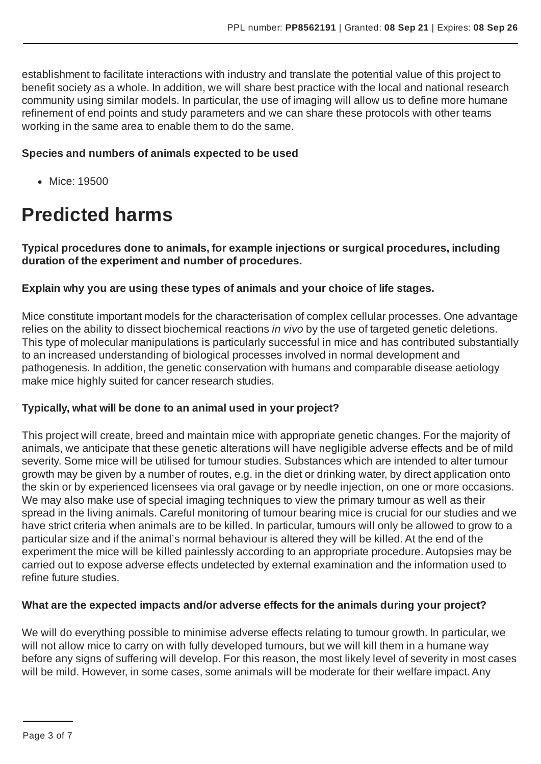establishment to facilitate interactions with industry and translate the potential value of this project to benefit society as a whole. In addition, we will share best practice with the local and national research community using similar models. In particular, the use of imaging will allow us to define more humane refinement of end points and study parameters and we can share these protocols with other teams working in the same area to enable them to do the same.

#### **Species and numbers of animals expected to be used**

Mice: 19500

## **Predicted harms**

**Typical procedures done to animals, for example injections or surgical procedures, including duration of the experiment and number of procedures.**

#### **Explain why you are using these types of animals and your choice of life stages.**

Mice constitute important models for the characterisation of complex cellular processes. One advantage relies on the ability to dissect biochemical reactions *in vivo* by the use of targeted genetic deletions. This type of molecular manipulations is particularly successful in mice and has contributed substantially to an increased understanding of biological processes involved in normal development and pathogenesis. In addition, the genetic conservation with humans and comparable disease aetiology make mice highly suited for cancer research studies.

#### **Typically, what will be done to an animal used in your project?**

This project will create, breed and maintain mice with appropriate genetic changes. For the majority of animals, we anticipate that these genetic alterations will have negligible adverse effects and be of mild severity. Some mice will be utilised for tumour studies. Substances which are intended to alter tumour growth may be given by a number of routes, e.g. in the diet or drinking water, by direct application onto the skin or by experienced licensees via oral gavage or by needle injection, on one or more occasions. We may also make use of special imaging techniques to view the primary tumour as well as their spread in the living animals. Careful monitoring of tumour bearing mice is crucial for our studies and we have strict criteria when animals are to be killed. In particular, tumours will only be allowed to grow to a particular size and if the animal's normal behaviour is altered they will be killed. At the end of the experiment the mice will be killed painlessly according to an appropriate procedure. Autopsies may be carried out to expose adverse effects undetected by external examination and the information used to refine future studies.

#### **What are the expected impacts and/or adverse effects for the animals during your project?**

We will do everything possible to minimise adverse effects relating to tumour growth. In particular, we will not allow mice to carry on with fully developed tumours, but we will kill them in a humane way before any signs of suffering will develop. For this reason, the most likely level of severity in most cases will be mild. However, in some cases, some animals will be moderate for their welfare impact.Any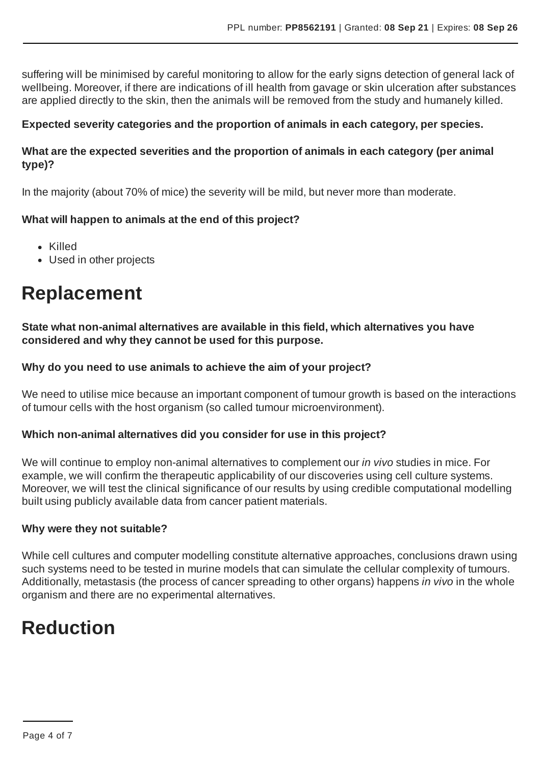suffering will be minimised by careful monitoring to allow for the early signs detection of general lack of wellbeing. Moreover, if there are indications of ill health from gavage or skin ulceration after substances are applied directly to the skin, then the animals will be removed from the study and humanely killed.

#### **Expected severity categories and the proportion of animals in each category, per species.**

#### **What are the expected severities and the proportion of animals in each category (per animal type)?**

In the majority (about 70% of mice) the severity will be mild, but never more than moderate.

#### **What will happen to animals at the end of this project?**

- Killed
- Used in other projects

### **Replacement**

**State what non-animal alternatives are available in this field, which alternatives you have considered and why they cannot be used for this purpose.**

#### **Why do you need to use animals to achieve the aim of your project?**

We need to utilise mice because an important component of tumour growth is based on the interactions of tumour cells with the host organism (so called tumour microenvironment).

#### **Which non-animal alternatives did you consider for use in this project?**

We will continue to employ non-animal alternatives to complement our *in vivo* studies in mice. For example, we will confirm the therapeutic applicability of our discoveries using cell culture systems. Moreover, we will test the clinical significance of our results by using credible computational modelling built using publicly available data from cancer patient materials.

#### **Why were they not suitable?**

While cell cultures and computer modelling constitute alternative approaches, conclusions drawn using such systems need to be tested in murine models that can simulate the cellular complexity of tumours. Additionally, metastasis (the process of cancer spreading to other organs) happens *in vivo* in the whole organism and there are no experimental alternatives.

### **Reduction**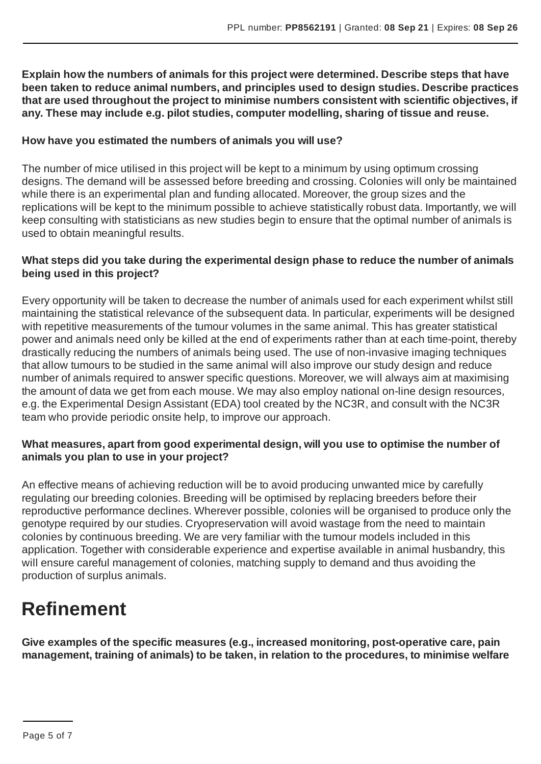**Explain how the numbers of animals for this project were determined. Describe steps that have been taken to reduce animal numbers, and principles used to design studies. Describe practices that are used throughout the project to minimise numbers consistent with scientific objectives, if any. These may include e.g. pilot studies, computer modelling, sharing of tissue and reuse.**

#### **How have you estimated the numbers of animals you will use?**

The number of mice utilised in this project will be kept to a minimum by using optimum crossing designs. The demand will be assessed before breeding and crossing. Colonies will only be maintained while there is an experimental plan and funding allocated. Moreover, the group sizes and the replications will be kept to the minimum possible to achieve statistically robust data. Importantly, we will keep consulting with statisticians as new studies begin to ensure that the optimal number of animals is used to obtain meaningful results.

#### **What steps did you take during the experimental design phase to reduce the number of animals being used in this project?**

Every opportunity will be taken to decrease the number of animals used for each experiment whilst still maintaining the statistical relevance of the subsequent data. In particular, experiments will be designed with repetitive measurements of the tumour volumes in the same animal. This has greater statistical power and animals need only be killed at the end of experiments rather than at each time-point, thereby drastically reducing the numbers of animals being used. The use of non-invasive imaging techniques that allow tumours to be studied in the same animal will also improve our study design and reduce number of animals required to answer specific questions. Moreover, we will always aim at maximising the amount of data we get from each mouse. We may also employ national on-line design resources, e.g. the Experimental Design Assistant (EDA) tool created by the NC3R, and consult with the NC3R team who provide periodic onsite help, to improve our approach.

#### **What measures, apart from good experimental design, will you use to optimise the number of animals you plan to use in your project?**

An effective means of achieving reduction will be to avoid producing unwanted mice by carefully regulating our breeding colonies. Breeding will be optimised by replacing breeders before their reproductive performance declines. Wherever possible, colonies will be organised to produce only the genotype required by our studies. Cryopreservation will avoid wastage from the need to maintain colonies by continuous breeding. We are very familiar with the tumour models included in this application. Together with considerable experience and expertise available in animal husbandry, this will ensure careful management of colonies, matching supply to demand and thus avoiding the production of surplus animals.

# **Refinement**

**Give examples of the specific measures (e.g., increased monitoring, post-operative care, pain management, training of animals) to be taken, in relation to the procedures, to minimise welfare**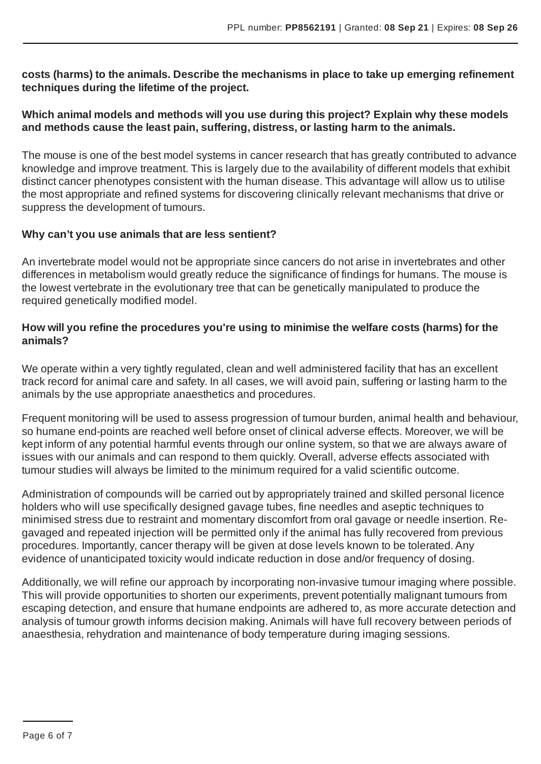**costs (harms) to the animals. Describe the mechanisms in place to take up emerging refinement techniques during the lifetime of the project.**

#### **Which animal models and methods will you use during this project? Explain why these models and methods cause the least pain, suffering, distress, or lasting harm to the animals.**

The mouse is one of the best model systems in cancer research that has greatly contributed to advance knowledge and improve treatment. This is largely due to the availability of different models that exhibit distinct cancer phenotypes consistent with the human disease. This advantage will allow us to utilise the most appropriate and refined systems for discovering clinically relevant mechanisms that drive or suppress the development of tumours.

#### **Why can't you use animals that are less sentient?**

An invertebrate model would not be appropriate since cancers do not arise in invertebrates and other differences in metabolism would greatly reduce the significance of findings for humans. The mouse is the lowest vertebrate in the evolutionary tree that can be genetically manipulated to produce the required genetically modified model.

#### **How will you refine the procedures you're using to minimise the welfare costs (harms) for the animals?**

We operate within a very tightly regulated, clean and well administered facility that has an excellent track record for animal care and safety. In all cases, we will avoid pain, suffering or lasting harm to the animals by the use appropriate anaesthetics and procedures.

Frequent monitoring will be used to assess progression of tumour burden, animal health and behaviour, so humane end-points are reached well before onset of clinical adverse effects. Moreover, we will be kept inform of any potential harmful events through our online system, so that we are always aware of issues with our animals and can respond to them quickly. Overall, adverse effects associated with tumour studies will always be limited to the minimum required for a valid scientific outcome.

Administration of compounds will be carried out by appropriately trained and skilled personal licence holders who will use specifically designed gavage tubes, fine needles and aseptic techniques to minimised stress due to restraint and momentary discomfort from oral gavage or needle insertion. Regavaged and repeated injection will be permitted only if the animal has fully recovered from previous procedures. Importantly, cancer therapy will be given at dose levels known to be tolerated.Any evidence of unanticipated toxicity would indicate reduction in dose and/or frequency of dosing.

Additionally, we will refine our approach by incorporating non-invasive tumour imaging where possible. This will provide opportunities to shorten our experiments, prevent potentially malignant tumours from escaping detection, and ensure that humane endpoints are adhered to, as more accurate detection and analysis of tumour growth informs decision making.Animals will have full recovery between periods of anaesthesia, rehydration and maintenance of body temperature during imaging sessions.